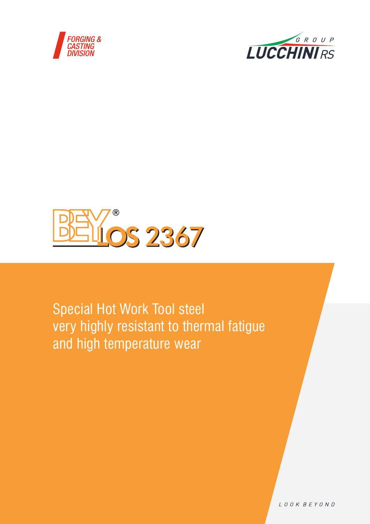





Special Hot Work Tool steel very highly resistant to thermal fatigue and high temperature wear

LOOK BEYOND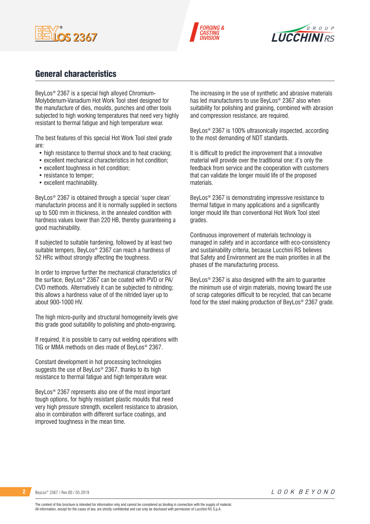





## General characteristics

BeyLos® 2367 is a special high alloyed Chromium-Molybdenum-Vanadium Hot Work Tool steel designed for the manufacture of dies, moulds, punches and other tools subjected to high working temperatures that need very highly resistant to thermal fatigue and high temperature wear.

The best features of this special Hot Work Tool steel grade are:

- high resistance to thermal shock and to heat cracking;
- excellent mechanical characteristics in hot condition;
- excellent toughness in hot condition;
- resistance to temper;
- excellent machinability.

BeyLos® 2367 is obtained through a special 'super clean' manufacturin process and it is normally supplied in sections up to 500 mm in thickness, in the annealed condition with hardness values lower than 220 HB, thereby guaranteeing a good machinability.

If subjected to suitable hardening, followed by at least two suitable tempers, BeyLos® 2367 can reach a hardness of 52 HRc without strongly affecting the toughness.

In order to improve further the mechanical characteristics of the surface, BeyLos® 2367 can be coated with PVD or PA/ CVD methods. Alternatively it can be subjected to nitriding; this allows a hardness value of of the nitrided layer up to about 900-1000 HV.

The high micro-purity and structural homogeneity levels give this grade good suitability to polishing and photo-engraving.

If required, it is possible to carry out welding operations with TIG or MMA methods on dies made of BeyLos® 2367.

Constant development in hot processing technologies suggests the use of BeyLos® 2367, thanks to its high resistance to thermal fatigue and high temperature wear.

BeyLos® 2367 represents also one of the most important tough options, for highly resistant plastic moulds that need very high pressure strength, excellent resistance to abrasion, also in combination with different surface coatings, and improved toughness in the mean time.

The increasing in the use of synthetic and abrasive materials has led manufacturers to use BeyLos® 2367 also when suitability for polishing and graining, combined with abrasion and compression resistance, are required.

BeyLos® 2367 is 100% ultrasonically inspected, according to the most demanding of NDT standards.

It is difficult to predict the improvement that a innovative material will provide over the traditional one: it's only the feedback from service and the cooperation with customers that can validate the longer mould life of the proposed materials.

BeyLos® 2367 is demonstrating impressive resistance to thermal fatigue in many applications and a significantly longer mould life than conventional Hot Work Tool steel grades.

Continuous improvement of materials technology is managed in safety and in accordance with eco-consistency and sustainability criteria, because Lucchini RS believes that Safety and Environment are the main priorities in all the phases of the manufacturing process.

BeyLos® 2367 is also designed with the aim to guarantee the minimum use of virgin materials, moving toward the use of scrap categories difficult to be recycled, that can became food for the steel making production of BeyLos® 2367 grade.

**2** BeyLos® 2367 / Rev.00 / 05.2019

LOOK BEYOND

The content of this brochure is intended for information only and cannot be considered as binding in connection with the supply of material. All information, except for the cases of law, are strictly confidential and can only be disclosed with permission of Lucchini RS S.p.A.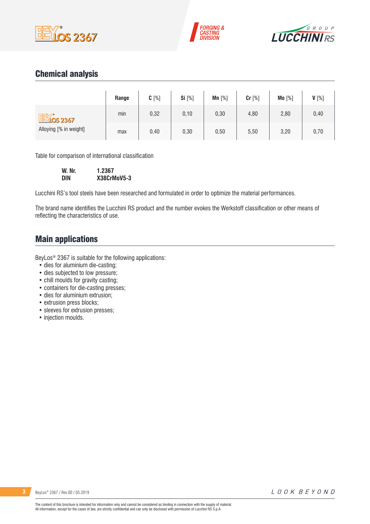





## Chemical analysis

|                                             | Range | $C[\%]$ | <b>Si</b> [%] | $Mn$ [%] | Cr [%] | Mo [%] | V[%] |
|---------------------------------------------|-------|---------|---------------|----------|--------|--------|------|
| <b>BEY's 2367</b><br>Alloying [% in weight] | min   | 0,32    | 0,10          | 0,30     | 4,80   | 2,80   | 0,40 |
|                                             | max   | 0,40    | 0,30          | 0,50     | 5,50   | 3,20   | 0,70 |

Table for comparison of international classification

| W. Nr. | 1.2367      |
|--------|-------------|
| DIN    | X38CrMoV5-3 |

Lucchini RS's tool steels have been researched and formulated in order to optimize the material performances.

The brand name identifies the Lucchini RS product and the number evokes the Werkstoff classification or other means of reflecting the characteristics of use.

## Main applications

BeyLos® 2367 is suitable for the following applications:

- dies for aluminium die-casting;
- dies subjected to low pressure;
- chill moulds for gravity casting;
- containers for die-casting presses;
- dies for aluminium extrusion;
- extrusion press blocks;
- sleeves for extrusion presses;
- injection moulds.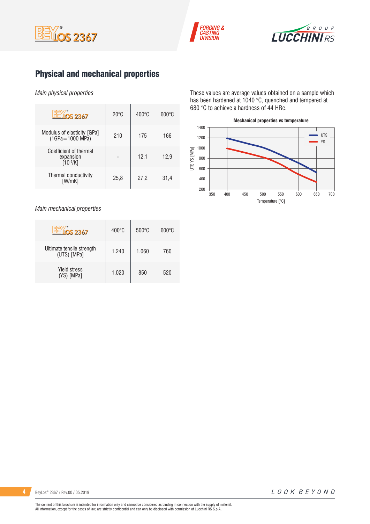





## Physical and mechanical properties

### *Main physical properties*

| OS 2367                                              | $20^{\circ}$ C | $400^{\circ}$ C | $600\degree$ C |
|------------------------------------------------------|----------------|-----------------|----------------|
| Modulus of elasticity [GPa]<br>$(1GPa = 1000 MPa)$   | 210            | 175             | 166            |
| Coefficient of thermal<br>expansion<br>$[10^{-6}/K]$ |                | 12,1            | 12,9           |
| Thermal conductivity<br>[W/mK]                       | 25,8           | 27,2            | 31,4           |

*Main mechanical properties*

| <b>LOS 2367</b>                          | $400^{\circ}$ C | $500^{\circ}$ C | $600^{\circ}$ C |
|------------------------------------------|-----------------|-----------------|-----------------|
| Ultimate tensile strength<br>(UTS) [MPa] | 1.240           | 1.060           | 760             |
| <b>Yield stress</b><br>(YS) [MPa]        | 1.020           | 850             | 520             |

These values are average values obtained on a sample which has been hardened at 1040 °C, quenched and tempered at 680 °C to achieve a hardness of 44 HRc.

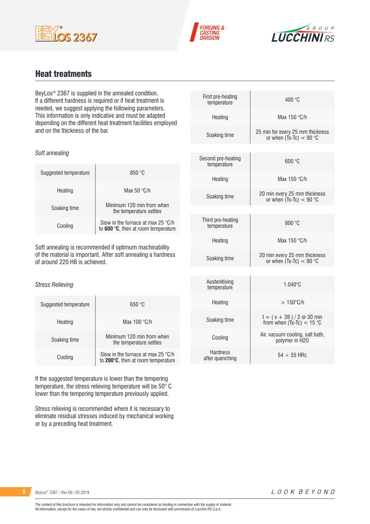





## Heat treatments

BeyLos® 2367 is supplied in the annealed condition. If a different hardness is required or if heat treatment is needed, we suggest applying the following parameters. This information is only indicative and must be adapted depending on the different heat treatment facilities employed and on the thickness of the bar.

| Soft annealing |  |
|----------------|--|
|                |  |

| Suggested temperature | 850 °C                                                                             |
|-----------------------|------------------------------------------------------------------------------------|
| Heating               | Max 50 $\degree$ C/h                                                               |
| Soaking time          | Minimum 120 min from when<br>the temperature settles                               |
| Cooling               | Slow in the furnace at max 25 $\degree$ C/h<br>to 600 °C, then at room temperature |

Soft annealing is recommended if optimum machinability of the material is important. After soft annealing a hardness of around 220 HB is achieved.

### *Stress Relieving*

| Suggested temperature | 650 °C                                                                   |
|-----------------------|--------------------------------------------------------------------------|
| Heating               | Max $100 °C/h$                                                           |
| Soaking time          | Minimum 120 min from when<br>the temperature settles                     |
| Cooling               | Slow in the furnace at max 25 °C/h<br>to 200°C, then at room temperature |

If the suggested temperature is lower than the tempering temperature, the stress relieving temperature will be 50° C lower than the tempering temperature previously applied.

Stress relieving is recommended where it is necessary to eliminate residual stresses induced by mechanical working or by a preceding heat treatment.

| First pre-heating<br>temperature   | 400 °C                                                        |
|------------------------------------|---------------------------------------------------------------|
| Heating                            | Max 150 °C/h                                                  |
| Soaking time                       | 25 min for every 25 mm thickness<br>or when $(Ts-TC) < 90$ °C |
|                                    |                                                               |
| Second pre-heating<br>temperature  | 600 °C                                                        |
| Heating                            | Max 150 °C/h                                                  |
| Soaking time                       | 20 min every 25 mm thickness<br>or when $(Ts-TC) < 90$ °C     |
|                                    |                                                               |
| Third pre-heating<br>temperature   | 800 °C                                                        |
| Heating                            | Max 150 °C/h                                                  |
| Soaking time                       | 20 min every 25 mm thickness<br>or when $(Ts-TC) < 90$ °C     |
|                                    |                                                               |
| Austenitising<br>temperature       | $1.040^{\circ}$ C                                             |
| Heating                            | $>150^{\circ}$ C/h                                            |
| Soaking time                       | $t = (x + 39) / 2$ or 30 min<br>from when $(Ts-Tc) < 15$ °C   |
| Cooling                            | Air, vacuum cooling, salt bath,<br>polymer in H2O             |
| <b>Hardness</b><br>after quenching | $54 \div 55$ HRc                                              |
|                                    |                                                               |

**5** BeyLos® 2367 / Rev.00 / 05.2019

LOOK BEYOND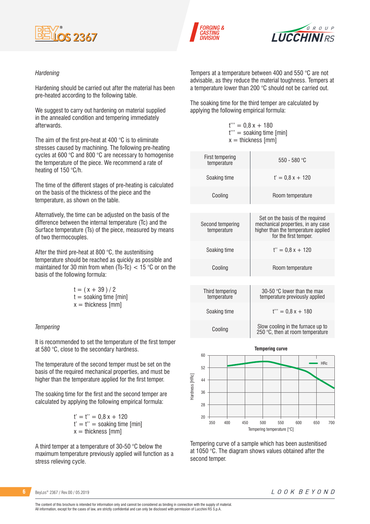





### *Hardening*

Hardening should be carried out after the material has been pre-heated according to the following table.

We suggest to carry out hardening on material supplied in the annealed condition and tempering immediately afterwards.

The aim of the first pre-heat at 400 °C is to eliminate stresses caused by machining. The following pre-heating cycles at 600 °C and 800 °C are necessary to homogenise the temperature of the piece. We recommend a rate of heating of 150 °C/h.

The time of the different stages of pre-heating is calculated on the basis of the thickness of the piece and the temperature, as shown on the table.

Alternatively, the time can be adjusted on the basis of the difference between the internal temperature (Tc) and the Surface temperature (Ts) of the piece, measured by means of two thermocouples.

After the third pre-heat at 800 °C, the austenitising temperature should be reached as quickly as possible and maintained for 30 min from when (Ts-Tc)  $<$  15 °C or on the basis of the following formula:

| $t = (x + 39)/2$         |
|--------------------------|
| $t =$ soaking time [min] |
| $x =$ thickness [mm]     |

#### *Tempering*

It is recommended to set the temperature of the first temper at 580 °C, close to the secondary hardness.

The temperature of the second temper must be set on the basis of the required mechanical properties, and must be higher than the temperature applied for the first temper.

The soaking time for the first and the second temper are calculated by applying the following empirical formula:

> $t' = t'' = 0.8 x + 120$  $t' = t'' =$  soaking time [min]  $x =$  thickness [mm]

A third temper at a temperature of 30-50 °C below the maximum temperature previously applied will function as a stress relieving cycle.

Tempers at a temperature between 400 and 550 °C are not advisable, as they reduce the material toughness. Tempers at a temperature lower than 200 °C should not be carried out.

The soaking time for the third temper are calculated by applying the following empirical formula:

> $t''' = 0.8x + 180$ t''' = soaking time [min]  $x =$  thickness [mm]

| $550 - 580 °C$                                                                                                                         |
|----------------------------------------------------------------------------------------------------------------------------------------|
| $t' = 0.8x + 120$                                                                                                                      |
| Room temperature                                                                                                                       |
|                                                                                                                                        |
| Set on the basis of the required<br>mechanical properties, in any case<br>higher than the temperature applied<br>for the first temper. |
| $t'' = 0.8x + 120$                                                                                                                     |
| Room temperature                                                                                                                       |
|                                                                                                                                        |
| 30-50 $\degree$ C lower than the max<br>temperature previously applied                                                                 |
| $t''' = 0.8x + 180$                                                                                                                    |
| Slow cooling in the furnace up to<br>250 °C, then at room temperature                                                                  |
|                                                                                                                                        |



Tempering curve of a sample which has been austenitised at 1050 °C. The diagram shows values obtained after the second temper.

**6** BeyLos® 2367 / Rev.00 / 05.2019

The content of this brochure is intended for information only and cannot be considered as binding in connection with the supply of material. All information, except for the cases of law, are strictly confidential and can only be disclosed with permission of Lucchini RS S.p.A.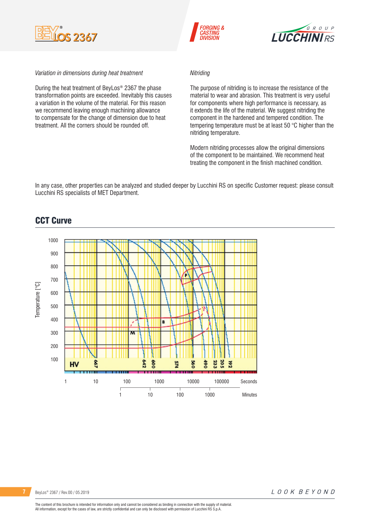





#### *Variation in dimensions during heat treatment*

During the heat treatment of BeyLos® 2367 the phase transformation points are exceeded. Inevitably this causes a variation in the volume of the material. For this reason we recommend leaving enough machining allowance to compensate for the change of dimension due to heat treatment. All the corners should be rounded off.

### *Nitriding*

The purpose of nitriding is to increase the resistance of the material to wear and abrasion. This treatment is very useful for components where high performance is necessary, as it extends the life of the material. We suggest nitriding the component in the hardened and tempered condition. The tempering temperature must be at least 50 °C higher than the nitriding temperature.

Modern nitriding processes allow the original dimensions of the component to be maintained. We recommend heat treating the component in the finish machined condition.

In any case, other properties can be analyzed and studied deeper by Lucchini RS on specific Customer request: please consult Lucchini RS specialists of MET Department.

### CCT Curve

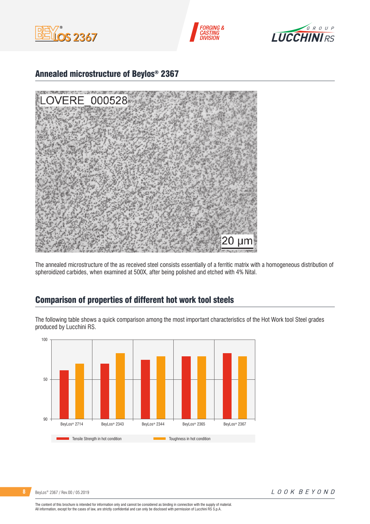





## Annealed microstructure of Beylos® 2367



The annealed microstructure of the as received steel consists essentially of a ferritic matrix with a homogeneous distribution of spheroidized carbides, when examined at 500X, after being polished and etched with 4% Nital.

## Comparison of properties of different hot work tool steels

The following table shows a quick comparison among the most important characteristics of the Hot Work tool Steel grades produced by Lucchini RS.



**8** BeyLos® 2367 / Rev.00 / 05.2019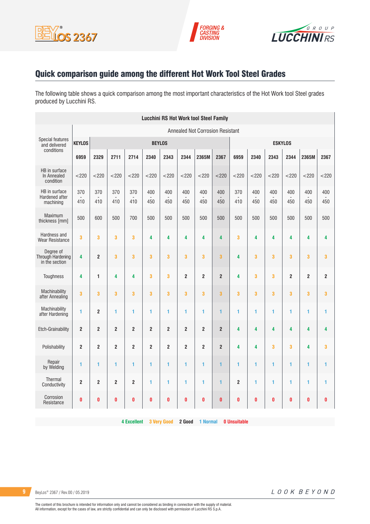





# Quick comparison guide among the different Hot Work Tool Steel Grades

The following table shows a quick comparison among the most important characteristics of the Hot Work tool Steel grades produced by Lucchini RS.

| <b>Lucchini RS Hot Work tool Steel Family</b>    |                         |                         |                         |                |                |                |                |                |                         |                |            |            |                |                         |                |
|--------------------------------------------------|-------------------------|-------------------------|-------------------------|----------------|----------------|----------------|----------------|----------------|-------------------------|----------------|------------|------------|----------------|-------------------------|----------------|
| <b>Annealed Not Corrosion Resistant</b>          |                         |                         |                         |                |                |                |                |                |                         |                |            |            |                |                         |                |
| <b>Special features</b><br>and delivered         | <b>KEYLOS</b>           | <b>BEYLOS</b>           |                         |                |                |                |                |                |                         | <b>ESKYLOS</b> |            |            |                |                         |                |
| conditions                                       | 6959                    | 2329                    | 2711                    | 2714           | 2340           | 2343           | 2344           | 2365M          | 2367                    | 6959           | 2340       | 2343       | 2344           | 2365M                   | 2367           |
| HB in surface<br>In Annealed<br>condition        | < 220                   | $<$ 220                 | < 220                   | $<$ 220        | $<$ 220        | $<$ 220        | $<$ 220        | < 220          | $<$ 220                 | < 220          | < 220      | $<$ 220    | $<$ 220        | < 220                   | $<$ 220        |
| HB in surface<br>Hardened after<br>machining     | 370<br>410              | 370<br>410              | 370<br>410              | 370<br>410     | 400<br>450     | 400<br>450     | 400<br>450     | 400<br>450     | 400<br>450              | 370<br>410     | 400<br>450 | 400<br>450 | 400<br>450     | 400<br>450              | 400<br>450     |
| Maximum<br>thickness [mm]                        | 500                     | 600                     | 500                     | 700            | 500            | 500            | 500            | 500            | 500                     | 500            | 500        | 500        | 500            | 500                     | 500            |
| Hardness and<br><b>Wear Resistance</b>           | 3                       | 3                       | $\overline{\mathbf{3}}$ | 3              | 4              | 4              | 4              | 4              | $\overline{4}$          | 3              | 4          | 4          | 4              | 4                       | 4              |
| Dearee of<br>Through Hardening<br>in the section | 4                       | $\overline{\mathbf{c}}$ | 3                       | 3              | 3              | 3              | 3              | 3              | 3                       | 4              | 3          | 3          | 3              | 3                       | 3              |
| Toughness                                        | $\overline{\mathbf{4}}$ | $\blacksquare$          | $\overline{\mathbf{4}}$ | 4              | 3              | 3              | $\overline{2}$ | 2              | $\boldsymbol{2}$        | 4              | 3          | 3          | $\overline{2}$ | $\overline{\mathbf{c}}$ | $\overline{2}$ |
| Machinability<br>after Annealing                 | 3                       | 3                       | 3                       | 3              | 3              | 3              | 3              | 3              | $\overline{\mathbf{3}}$ | 3              | 3          | 3          | 3              | 3                       | 3              |
| Machinability<br>after Hardening                 | 1                       | $\overline{2}$          | 1                       | 1              | 1              | 1              | 1              | 1              | 1                       | 1              | 1          | 1          | 1              | 1                       | 1              |
| Etch-Grainability                                | $\overline{2}$          | $\overline{\mathbf{c}}$ | $\overline{2}$          | $\overline{2}$ | $\overline{2}$ | $\overline{2}$ | $\overline{2}$ | $\overline{2}$ | $\overline{2}$          | 4              | 4          | 4          | 4              | 4                       | 4              |
| Polishability                                    | $\overline{2}$          | $\overline{2}$          | $\overline{2}$          | $\overline{2}$ | $\overline{2}$ | $\overline{2}$ | $\overline{2}$ | $\overline{2}$ | $\overline{2}$          | 4              | 4          | 3          | 3              | 4                       | 3              |
| Repair<br>by Welding                             | 1                       | 1                       | 1                       | 1              | 1              | 1              | 1              | 1              | $\mathbf{1}$            | 1              | 1          | 1          | 1              | 1                       | 1              |
| Thermal<br>Conductivity                          | $\overline{2}$          | $\overline{2}$          | $\overline{2}$          | $\overline{2}$ | 1              | 1              | 1              | 1              | 1                       | $\overline{2}$ | 1          | 1          | 1              | 1                       | 1              |
| Corrosion<br>Resistance                          | $\bf{0}$                | 0                       | $\bf{0}$                | $\bf{0}$       | $\bf{0}$       | 0              | $\bf{0}$       | 0              | $\bf{0}$                | 0              | 0          | 0          | 0              | $\bf{0}$                | $\pmb{0}$      |

**4 Excellent 3 Very Good 2 Good 1 Normal 0 Unsuitable**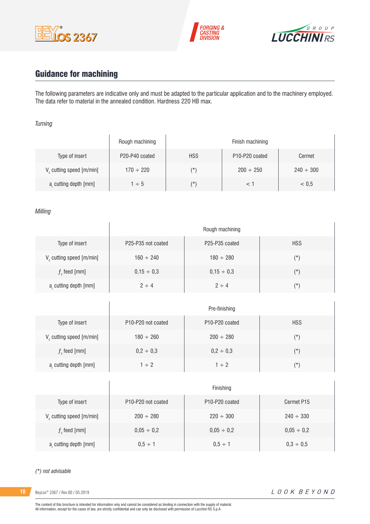





# Guidance for machining

 $\overline{1}$ 

The following parameters are indicative only and must be adapted to the particular application and to the machinery employed. The data refer to material in the annealed condition. Hardness 220 HB max.

### *Turning*

|                                      | Rough machining | Finish machining |                                         |                |  |  |  |  |
|--------------------------------------|-----------------|------------------|-----------------------------------------|----------------|--|--|--|--|
| Type of insert                       | P20-P40 coated  | <b>HSS</b>       | P <sub>10</sub> -P <sub>20</sub> coated | Cermet         |  |  |  |  |
| V <sub>c</sub> cutting speed [m/min] | $170 \div 220$  | $(\star)$        | $200 \div 250$                          | $240 \div 300$ |  |  |  |  |
| a, cutting depth [mm]                | $1 \div 5$      | $(\star)$        |                                         | < 0.5          |  |  |  |  |

### *Milling*

|                                      | Rough machining                             |                                         |            |  |  |
|--------------------------------------|---------------------------------------------|-----------------------------------------|------------|--|--|
| Type of insert                       | P <sub>25</sub> -P <sub>35</sub> not coated | P <sub>25</sub> -P <sub>35</sub> coated | <b>HSS</b> |  |  |
| V <sub>c</sub> cutting speed [m/min] | $160 \div 240$                              | $180 \div 280$                          | $(\star)$  |  |  |
| $fz$ feed [mm]                       | $0,15 \div 0,3$                             | $0.15 \div 0.3$                         | $(\star)$  |  |  |
| a, cutting depth [mm]                | $2 \div 4$                                  | $2 \div 4$                              | $(\star)$  |  |  |

|                         | Pre-finishing                               |                                         |            |  |  |  |
|-------------------------|---------------------------------------------|-----------------------------------------|------------|--|--|--|
| Type of insert          | P <sub>10</sub> -P <sub>20</sub> not coated | P <sub>10</sub> -P <sub>20</sub> coated | <b>HSS</b> |  |  |  |
| V cutting speed [m/min] | $180 \div 260$                              | $200 \div 280$                          | $(\star)$  |  |  |  |
| $f$ , feed [mm]         | $0,2 \div 0,3$                              | $0,2 \div 0,3$                          | $(\star)$  |  |  |  |
| a, cutting depth [mm]   | $1 \div 2$                                  | $1 \div 2$                              | (*)        |  |  |  |

|                               | Finishing                                   |                                         |                 |  |  |  |
|-------------------------------|---------------------------------------------|-----------------------------------------|-----------------|--|--|--|
| Type of insert                | P <sub>10</sub> -P <sub>20</sub> not coated | P <sub>10</sub> -P <sub>20</sub> coated | Cermet P15      |  |  |  |
| $V_c$ cutting speed $[m/min]$ | $200 \div 280$                              | $220 \div 300$                          | $240 \div 330$  |  |  |  |
| $fz$ feed [mm]                | $0,05 \div 0,2$                             | $0.05 \div 0.2$                         | $0,05 \div 0,2$ |  |  |  |
| a, cutting depth [mm]         | $0.5 \div 1$                                | $0.5 \div 1$                            | $0,3 \div 0,5$  |  |  |  |

#### *(\*) not advisable*

**10** BeyLos® 2367 / Rev.00 / 05.2019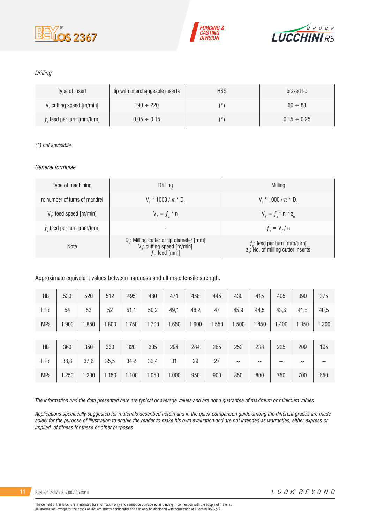





### *Drilling*

| Type of insert                       | tip with interchangeable inserts | <b>HSS</b> | brazed tip       |
|--------------------------------------|----------------------------------|------------|------------------|
| V <sub>c</sub> cutting speed [m/min] | $190 \div 220$                   | (*         | $60 \div 80$     |
| $fz$ feed per turn [mm/turn]         | $0.05 \div 0.15$                 | (*         | $0.15 \div 0.25$ |

### *(\*) not advisable*

### *General formulae*

| Type of machining             | Drilling                                                                                                          | Milling                                                                             |
|-------------------------------|-------------------------------------------------------------------------------------------------------------------|-------------------------------------------------------------------------------------|
| n: number of turns of mandrel | $V_r * 1000 / \pi * D_r$                                                                                          | $V_r * 1000 / \pi * D_r$                                                            |
| $Vf$ : feed speed [m/min]     | $V_{f} = f_{7}$ * n                                                                                               | $V_{f} = f_{i} * n * z_{n}$                                                         |
| $fz$ feed per turn [mm/turn]  | -                                                                                                                 | $f_{n} = V_{f} / n$                                                                 |
| <b>Note</b>                   | D <sub>r</sub> : Milling cutter or tip diameter [mm]<br>V <sub>c</sub> : cutting speed [m/min]<br>$f$ : feed [mm] | $f_{n}$ : feed per turn [mm/turn]<br>z <sub>n</sub> : No. of milling cutter inserts |

Approximate equivalent values between hardness and ultimate tensile strength.

| HB         | 530   | 520   | 512   | 495   | 480   | 471   | 458   | 445   | 430   | 415   | 405   | 390   | 375   |
|------------|-------|-------|-------|-------|-------|-------|-------|-------|-------|-------|-------|-------|-------|
| <b>HRc</b> | 54    | 53    | 52    | 51,1  | 50,2  | 49,1  | 48,2  | 47    | 45,9  | 44,5  | 43,6  | 41,8  | 40,5  |
| <b>MPa</b> | 900.  | 1.850 | 1.800 | 1.750 | 1.700 | 1.650 | 1.600 | 1.550 | 1.500 | 1.450 | 1.400 | 1.350 | 1.300 |
|            |       |       |       |       |       |       |       |       |       |       |       |       |       |
| HB         | 360   | 350   | 330   | 320   | 305   | 294   | 284   | 265   | 252   | 238   | 225   | 209   | 195   |
| <b>HRc</b> | 38,8  | 37,6  | 35,5  | 34,2  | 32,4  | 31    | 29    | 27    | --    | --    | --    | --    | --    |
| MPa        | 1.250 | 1.200 | 1.150 | 1.100 | 1.050 | 1.000 | 950   | 900   | 850   | 800   | 750   | 700   | 650   |

*The information and the data presented here are typical or average values and are not a guarantee of maximum or minimum values.*

*Applications specifically suggested for materials described herein and in the quick comparison guide among the different grades are made solely for the purpose of illustration to enable the reader to make his own evaluation and are not intended as warranties, either express or implied, of fitness for these or other purposes.*